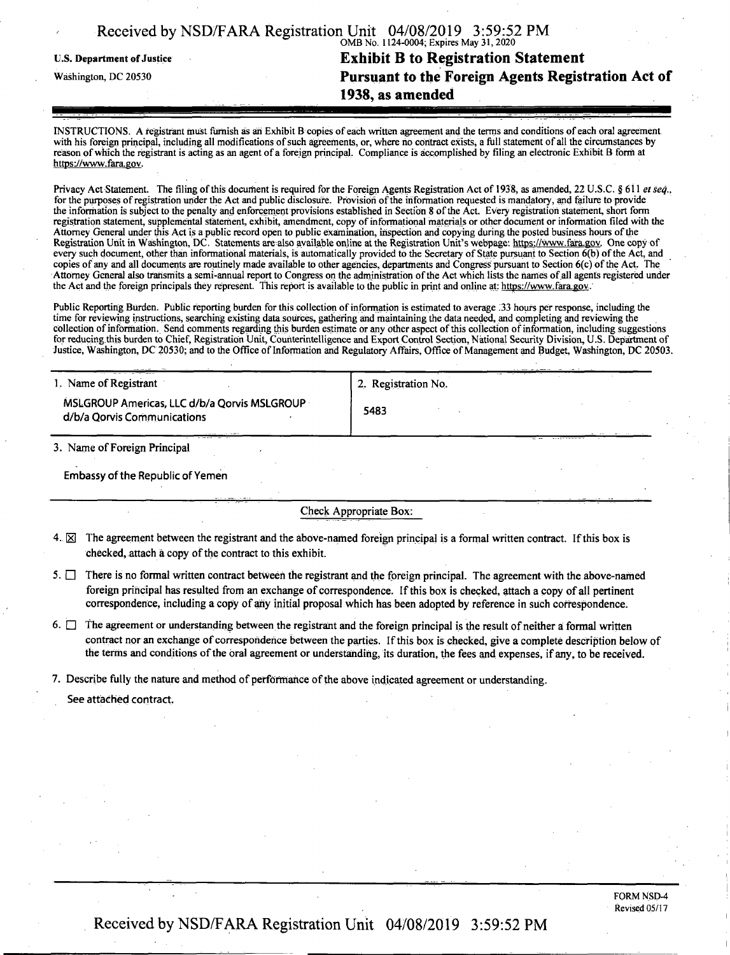|                            | Received by NSD/FARA Registration Unit 04/08/2019 3:59:52 PM |  |
|----------------------------|--------------------------------------------------------------|--|
|                            | OMB No. 1124-0004; Expires May 31, 2020                      |  |
| U.S. Department of Justice | <b>Exhibit B to Registration Statement</b>                   |  |
| Washington, DC 20530       | Pursuant to the Foreign Agents Registration Act of           |  |
|                            |                                                              |  |

**1938, as amended**

INSTRUCTIONS. A registrant must furnish as ah Exhibit B copies of each written agreement and the terms and conditions ofeach oral agreement with his foreign principal, including all modifications of such agreements, or, where no contract exists, a full statement of all the circumstances by reason ofwhich the registrant is acting as an agent of a foreign principal. Compliance is accomplished by filing an electronic Exhibit B form at https://www.fara.gov.

Privacy Act Statement. The filing of this document is required for the Foreign Agents Registration Act of 1938, as amended, 22 U.S.C. § 611 et seq., for the purposes of registration under the Act and public disclosure. Provision of the information requested is mandatory, and failure to provide the information is subject to the penalty and enforcement provisions established in Section 8 ofthe Act. Every registration statement, short form registration statement, supplemental statement, exhibit, amendment, copy ofinformational materials or other document or information filed with the Attorney General under this Act is a public record open to public examination, inspection and copying during the posted business hours ofthe Registration Unit in Washington, DC. Statements are also available online at the Registration Unit's webpage: https://www.fara.gov. One copy of every such document, other than informational materials, is automatically provided to the Secretary of State pursuant to Section  $6(b)$  of the Act, and copies of any and all documents are routinely made available to other agencies, departments and Congress pursuant to Section 6(c) ofthe Act, The Attorney General also transmits a semi-annual report to Congress on the administration ofthe Act which lists the names of all agents registered under the Act and the foreign principals they represent. This report is available to the public in print and online at: https://www.fara.gov.

Public Reporting Burden. Public reporting burden for this collection of information is estimated to average :33 hours per response, including the time for reviewing instructions, searching existing data sources, gathering and maintaining the data needed, and completing and reviewing the collection of information. Send comments regarding this burden estimate or any other aspect of this collection of information, including suggestions for reducing this burden to Chief, Registration Unit, Counterintelligence and Export Control Section, National Security Division, U.S. Department of Justice, Washington, DC 20530; and to the Office of Information and Regulatory Affairs, Office of Management and Budget, Washington, DC 20503.

| 1. Name of Registrant                                                       | 2. Registration No. |  |  |
|-----------------------------------------------------------------------------|---------------------|--|--|
| MSLGROUP Americas, LLC d/b/a Qorvis MSLGROUP<br>d/b/a Qorvis Communications | 5483                |  |  |
| 3. Name of Foreign Principal                                                |                     |  |  |

**Embassy of the Republic of Yemen** 

**Check Appropriate Box:**

- 4.  $\boxtimes$  The agreement between the registrant and the above-named foreign principal is a formal written contract. If this box is **checked, attach a** copy of the contract to this exhibit.
- 5.  $\Box$  There is no formal written contract between the registrant and the foreign principal. The agreement with the above-named foreign principal has resulted from an exchange of correspondence. If this box is checked, attach a copy of all pertinent **correspondence, including a copy ofany initial proposal which has been adopted by reference in such correspondence.**
- 6.  $\Box$  The agreement or understanding between the registrant and the foreign principal is the result of neither a formal written contract nor an exchange of correspondence between the parties. If this box is checked, give a complete description below of the terms and conditions of the oral agreement or understanding, its duration, the fees and expenses, if any, to be received.

**7. Describe fully the nature and method of performance ofthe above indicated agreement or understanding.**

**See attached contract.**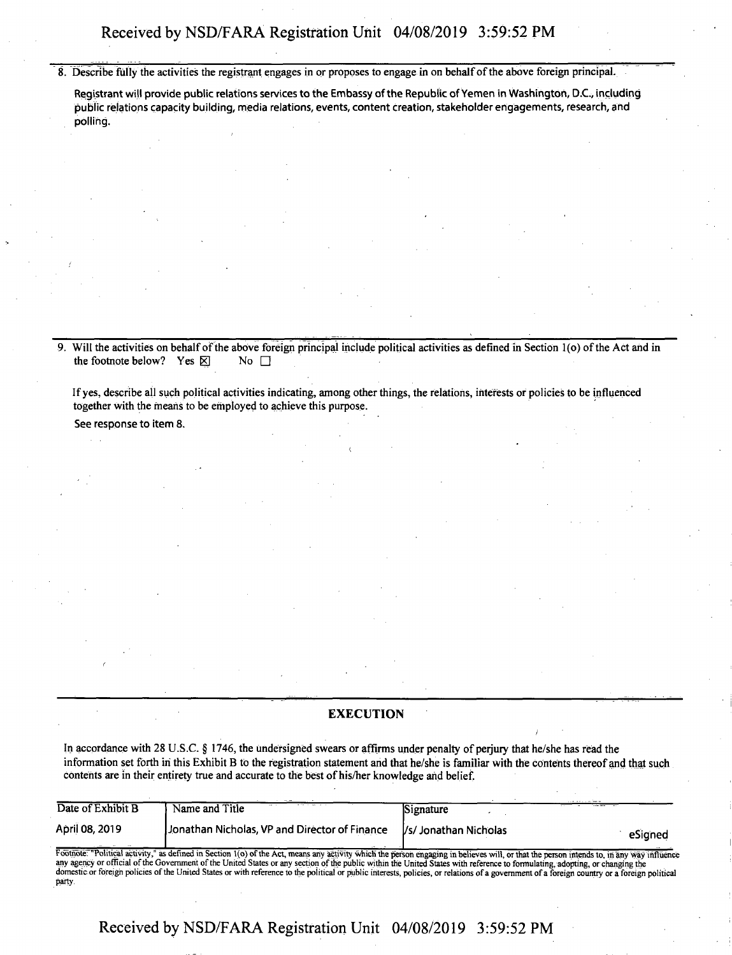8. Describe fully the activities the registrant engages in or proposes to engage in on behalf of the above foreign principal.

Registrant will provide public relations services to the Embassy of the Republic of Yemen in Washington, D.C., including **public relations capacity building, media relations, events, content creation, stakeholder engagements, research, and polling.**

9. Will the activities on behalf of the above foreign principal include political activities as defined in Section 1(0) of the Act and in **the footnote below? Yes**  $\boxtimes$  **No**  $\Box$ 

If yes, describe all such political activities indicating, among other things, the relations, interests or policies to be influenced **together with the means to be employed to achieve this purpose.**

*{*

**See response to item 8.**

## **EXECUTION**

In accordance with 28 U.S.C. § 1746, the undersigned swears or affirms under penalty of perjury that he/she has read the information set forth in this Exhibit B to the registration statement and that he/she is familiar with the contents thereof and that such **contents are in their entirety true and accurate to the best ofhis/her knowledge and belief.**

| Date of Exhibit B | Name and Title                                                                                                                                                                                                                                                                                                                                                                                                                                                                                                                                                            | Signature            |         |
|-------------------|---------------------------------------------------------------------------------------------------------------------------------------------------------------------------------------------------------------------------------------------------------------------------------------------------------------------------------------------------------------------------------------------------------------------------------------------------------------------------------------------------------------------------------------------------------------------------|----------------------|---------|
| April 08, 2019    | Jonathan Nicholas, VP and Director of Finance                                                                                                                                                                                                                                                                                                                                                                                                                                                                                                                             | Vs/Jonathan Nicholas | eSianed |
| party.            | Footnote: "Political activity," as defined in Section 1(o) of the Act, means any activity which the person engaging in believes will, or that the person intends to, in any way influence<br>any agency or official of the Government of the United States or any section of the public within the United States with reference to formulating, adopting, or changing the<br>domestic or foreign policies of the United States or with reference to the political or public interests, policies, or relations of a government of a foreign country or a foreign political |                      |         |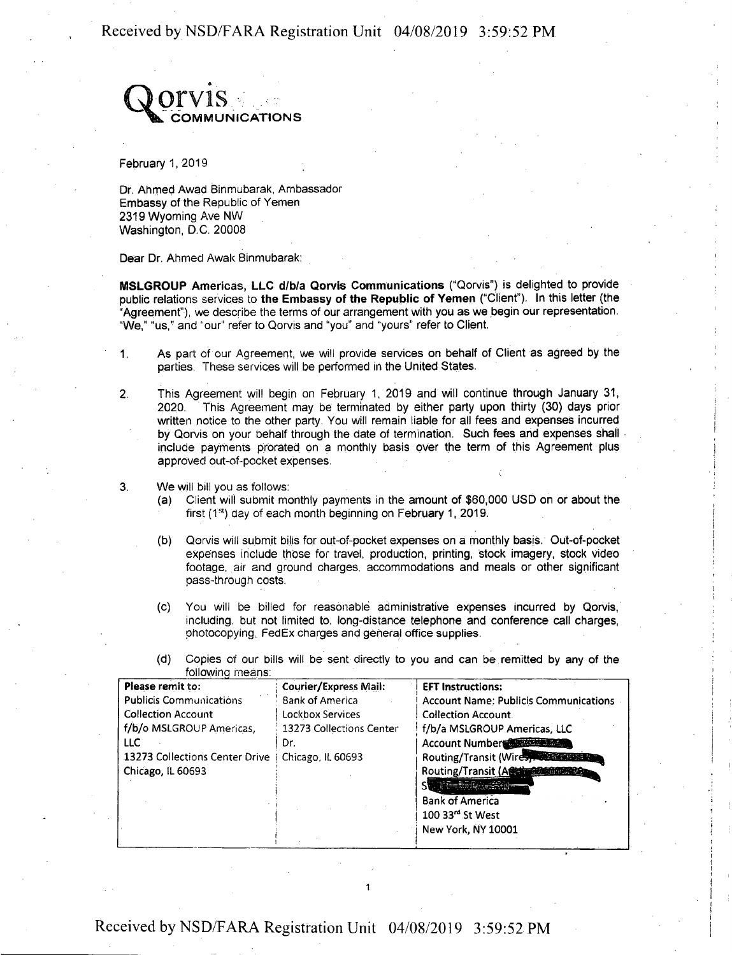**NICATIONS** 

February 1, 2019

Dr. Ahmed Awad Binmubarak, Ambassador Embassy of the Republic of Yemen 2319 Wyoming Ave NW Washington, D.C. 20008

Dear Dr. Ahmed Awak Binmubarak:

**MSLGROUP** Americas, **LLC d/b/a Qorvis Communications** ("Qorvis") is delighted to provide public relations services to **the Embassy of the Republic of Yemen** ("Client"). In this letter (the ''Agreement"), we describe the terms of our arrangement with you as we begin our representation. "We," "us," and "our" refer to Qorvis and "you" and "yours" refer to Client.

- 1. As part of our Agreement, we will provide services on behalf of Client as agreed by the parties. These services will be performed in the United States.
- 2. This Agreement will begin on February 1, 2019 and will continue through January 31, 2020. This Agreement may be terminated by either party upon thirty (30) days prior written notice to the other party. You will remain liable for all fees and expenses incurred by Qorvis on your behalf through the date of termination. Such fees and expenses shall include payments prorated on a monthly basis over the term of this Agreement plus approved out-of-pocket expenses.
- 3. We will bill you as follows:
	- (a) Client will submit monthly payments in the amount of \$60,000 USD on or about the first (1<sup>st</sup>) day of each month beginning on February 1, 2019.
	- (b) Qorvis will submit bills for out-of-pocket expenses on a monthly basis. Out-of-pocket expenses include those for travel, production, printing, stock imagery, stock video footage, air and ground charges, accommodations and meals or other significant pass-through costs.
	- (c) You will be billed for reasonable administrative expenses incurred by Qorvis, including, but not limited to, long-distance telephone and conference call charges, photocopying, FedEx charges and general office supplies.

| following means:                      |                              |                                              |
|---------------------------------------|------------------------------|----------------------------------------------|
| Please remit to:                      | <b>Courier/Express Mail:</b> | <b>EFT Instructions:</b>                     |
| <b>Publicis Communications</b>        | <b>Bank of America</b>       | <b>Account Name: Publicis Communications</b> |
| <b>Collection Account</b>             | <b>Lockbox Services</b>      | <b>Collection Account</b>                    |
| f/b/o MSLGROUP Americas,              | 13273 Collections Center     | f/b/a MSLGROUP Americas, LLC                 |
| LLC                                   | Dr.                          | Account Number                               |
| <b>13273 Collections Center Drive</b> | Chicago, IL 60693            | Routing/Transit (Wires)                      |
| Chicago, IL 60693                     |                              | Routing/Transit (Additional contracts)       |
|                                       |                              | <b>THE BERNESON</b>                          |
|                                       |                              | <b>Bank of America</b>                       |
|                                       |                              | 100 33 <sup>rd</sup> St West                 |
|                                       |                              |                                              |

**New York, NY 10001**

(d) Copies of our bills will be sent directly to you and can be remitted by any of the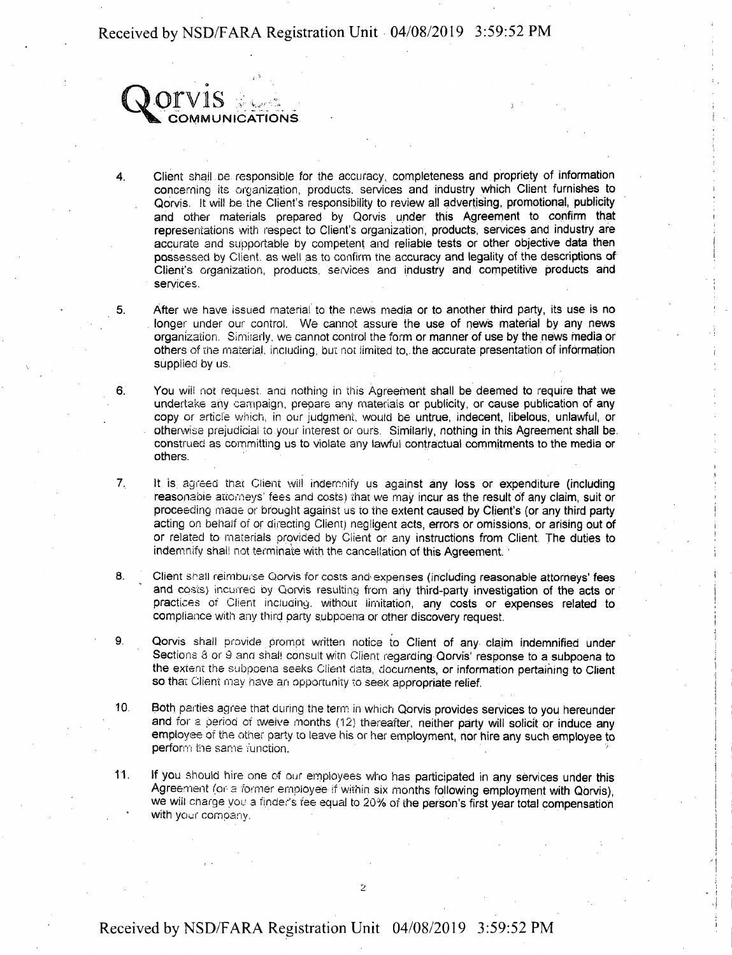**COMMUNICATIONS**

4. Client shail oe responsible for the accuracy, completeness and propriety of information concerning its organization, products, services and industry which Client furnishes to Qorvis. It will be the Client's responsibility to review all advertising, promotional, publicity and other materials prepared by Qorvis under this Agreement to confirm that representations with respect to Client's organization, products, services and industry are accurate and supportable by competent and reliable tests or other objective data then possessed by Client, as well as to confirm the accuracy and legality of the descriptions of Client's organization, products, services and industry and competitive products and services.

5. After we have issued material to the news media or to another third party, its use is no longer under our control. We cannot assure the use of news material by any news organization. Similarly, we cannot control the form or manner of use by the news media or others of the material, including, but not limited to,, the accurate presentation of information supplied by us.

6. You will not request, and nothing in this Agreement shall be deemed to require that we undertake any campaign, prepare any materials or publicity, or cause publication of any copy or article which, in our judgment, would be untrue, indecent, libelous, unlawful, or otherwise prejudicial to .your interest or ours. Similarly, nothing in this Agreement shall be. construed as committing us to violate any lawful contractual commitments to the media or others.

7. It is agreed that Client will indemnify us against any loss or expenditure (including reasonable attorneys' fees and costs) that we may incur as the result of any claim, suit or proceeding made or brought against us to the extent caused by Client's (or any third party acting on behalf of or directing Client) negligent acts, errors or omissions, or arising out of or related to materials provided by Client or any instructions from Client. The duties to indemnify shall not terminate with the cancellation of this Agreement, '

8. Client shall reimburse Qorvis for costs and expenses (including reasonable attorneys' fees and costs) incurred by Qorvis resulting from any third-party investigation of the acts or practices of Client including, without limitation, any costs or expenses related to compliance with any third party subpoena or other discovery request.

9. Qorvis shall provide prompt written notice to Client of any claim indemnified under Sections 8 or 9 and shall consult witn Client regarding Qorvis' response to a subpoena to the extent the subpoena seeks Client data, documents, or information pertaining to Client so that Client may have an opportunity to seek appropriate relief.

10. Both parties agree that during the term in which Qorvis provides services to you hereunder and for a period of tweive months (12) thereafter, neither party will solicit or induce any employee of the other party to leave his or her employment, nor hire any such employee to perform the same function.

11. If you should hire one of our employees who has participated in any services under this Agreement (or a former employee if within six months following employment with Qorvis), we will charge you a finder's fee equal to 20% of the person's first year total compensation with your company.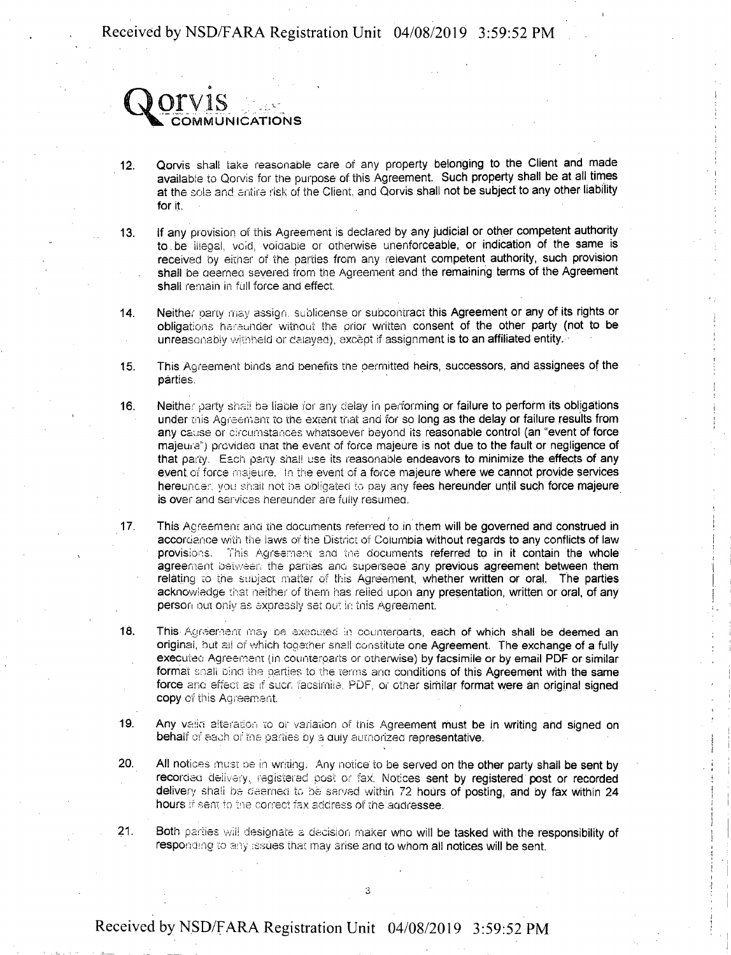

- 12. Qorvis shall take reasonable care of any property belonging to the Client and made available to Qorvis for the purpose of this Agreement. Such property shall be at all times at the sole and entire risk of the Client, and Qorvis shall not be subject to any other liability for if.
- 13. If any provision of this Agreement is declared by any judicial or other competent authority to be illegal, void, voidable or otherwise unenforceable, or indication of the same is received by either of the parties from any relevant competent authority, such provision shall be aeemed severed from the Agreement and the remaining terms of the Agreement shall remain in full force and effect.
- 14. Neither party may assign, sublicense or subcontract this Agreement or any of its rights or obligations hereunder without the prior written consent of the other party (not to be unreasonably withheld or delayed), except if assignment is to an affiliated entity.
- 15. This Agreement binds and benefits the permitted heirs, successors, and assignees of the parties.
- 16. Neither party shall be liable for any delay in performing or failure to perform its obligations under this Agreement to the extent that and for so long as the delay or failure results from any cause or circumstances whatsoever beyond its reasonable control (an "event of force majeui a") provided that the event of force majeure is not due to the fault or negligence of that party. Each party shall use its reasonable endeavors to minimize the effects of any event.of force majeure. In the event of a force majeure where we cannot provide services hereuncer, you shall not he obligated to pay any fees hereunder until such force majeure is over and services hereunder are fully resumed.
- 17. This Agreement ana the documents referred to in them will be governed and construed in accordance with the laws of the District of Columbia without regards to any conflicts of law provisions. This Agreement and the documents referred to in it contain the whole agreement between the parties and supersede any previous agreement between them relating to the subject matter of this Agreement, whether written or oral. The parties acknowledge that neither of them has relied upon any presentation, written or oral, of any person out only as expressly set out in this Agreement.
- 18. This Agreement may be executed in counterparts, each of which shall be deemed an original, but all of which together snall constitute one Agreement. The exchange of a fully executed Agreement (in counterparts or otherwise) by facsimile or by email PDF or similar format shall bind the parties to the terms and conditions of this Agreement with the same force and effect as if suer, facsimile, PDF, or other similar format were an original signed copy of this Agreement.
- 19. Any vaiid alteration to or variation of inis Agreement must be in writing and signed on behalf of each of the parties by a duly authorized representative.
- 20. All notices must be in writing. Any notice to be served on the other party shall be sent by recorded delivery, registered post or fax. Notices sent by registered post or recorded delivery shall be deemed to be served within 72 hours of posting, and by fax within 24 hours if sent to ine correct fax address of the addressee.
- 21. Both parties will designate a decision maker who will be tasked with the responsibility of responding to any issues that may arise and to whom all notices will be sent.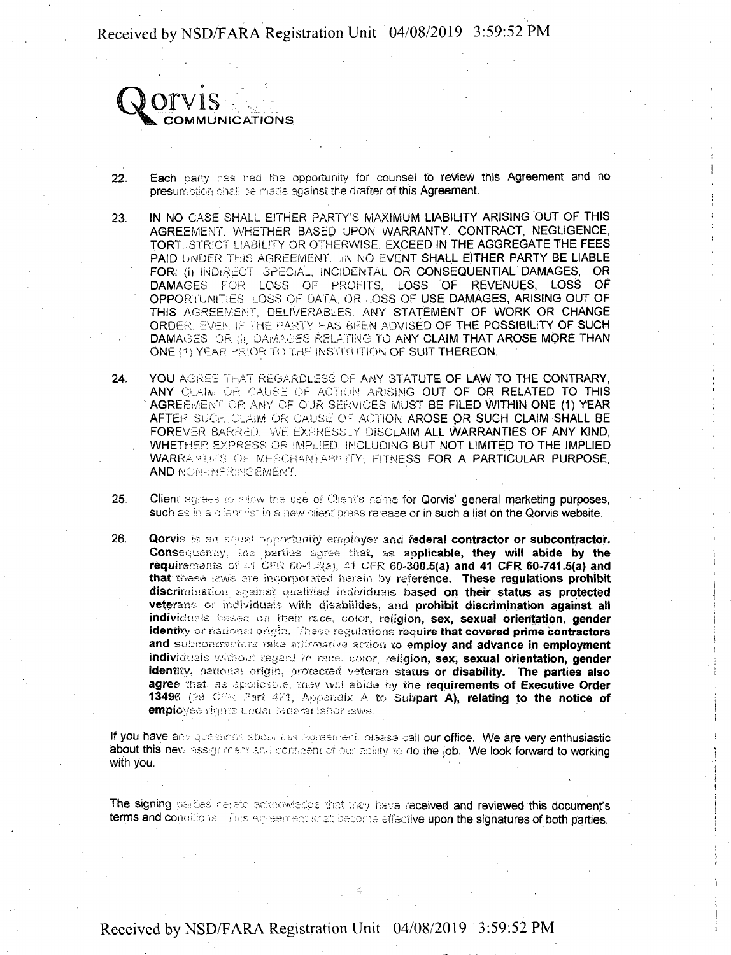**IMUNICATIONS** 

- 22. Each party has nad the opportunity for counsel to review this Agreement and no presumption shall be made against the drafter of this Agreement.
- 23. IN NO CASE SHALL EITHER PARTY'S MAXIMUM LIABILITY ARISING OUT OF THIS AGREEMENT. WHETHER BASED UPON WARRANTY, CONTRACT, NEGLIGENCE, TORT. STRICT LIABILITY OR OTHERWISE. EXCEED IN THE AGGREGATE THE FEES PAID UNDER THIS AGREEMENT. IN NO EVENT SHALL EITHER PARTY BE LIABLE FOR: (i) INDIRECT. SPECIAL, INCIDENTAL OR CONSEQUENTIAL DAMAGES, OR DAMAGES FOR LOSS OF PROFITS, LOSS OF REVENUES, LOSS OF OPPORTUNITIES LOSS OF DATA, OR LOSS'OF USE DAMAGES, ARISING OUT OF THIS AGREEMENT, DELIVERABLES. ANY STATEMENT OF WORK OR CHANGE ORDER. EVEN IF THE PARTY HAS BEEN ADVISED OF THE POSSIBILITY OF SUCH DAMAGES. OR G; DAMAGES RELATING TO ANY CLAIM THAT AROSE MORE THAN ONE (1) YEAR PRIOR TO THE INSTITUTION OF SUIT THEREON.
- 24. YOU AGREE THAT REGARDLESS OF ANY STATUTE OF LAW TO THE CONTRARY, ANY CLAIM OR CAUSE OF ACTION ARISING OUT OF OR RELATED TO THIS 'AGREEMENT OR ANY OF OUR SERVICES MUST BE FILED WITHIN ONE (1) YEAR AFTER SUCr. CLAIM OR CAUSE OF ACTION AROSE OR SUCH CLAIM SHALL BE FOREVER BARRED. WE EXPRESSLY DISCLAIM ALL WARRANTIES OF ANY KIND, WHETHER EXPRESS OR IMPLIED. INCLUDING BUT NOT LIMITED TO THE IMPLIED WARRANTLES OF MERCHANTABILITY, FITNESS FOR A PARTICULAR PURPOSE, AND NON-INFRINGEMENT.
- 25. .Client agrees to allow the use of Client's name for Qorvis' general marketing purposes, such as in a client list in a new client press release or in such a list on the Qorvis website.
- 26. **Qorvis** is an equal opportunity employer and **federal contractor or subcontractor. Consequently.** tns parties agree that, as **applicable, they will abide by the requirements** of ml CFR SG-1 *A(&),* **41** CFR **60-300.5(a) and 41 CFR 60-741.5(a) and that** these taws are incorporated herein by **reference. These regulations prohibit discrimination,** against qualified individuals **based on their status as protected veterans** or individuals with disabilities, and **prohibit discrimination against all individuals** base;; on imem race, color, religion, **sex, sexual orientation, gender** identity or *nation?.!* origin. These regulations **require that covered prime contractors and** subcontraciv.rs rake affirmative action to employ **and advance in employment** individuals without regard to *race,* color, **religion, sex, sexual orientation, gender identity,** national origin, protected veteran status **or disability. The parties also agree- mat,** as appiicams-, tnev wn\* abide by the **requirements of Executive Order 13496 (:L9 C; -R** Far! 471, Appendix A to **Subpart A), relating to the notice of** employee rigms under federal labor laws.

If you have any questions above this represment, olease call our office. We are very enthusiastic about this new essignment and confloent of our ability to do the job. We look forward to working with you.

The signing parties rereto acknowledge that they have received and reviewed this document's terms and conditions. Thus equeement shall become effective upon the signatures of both parties.